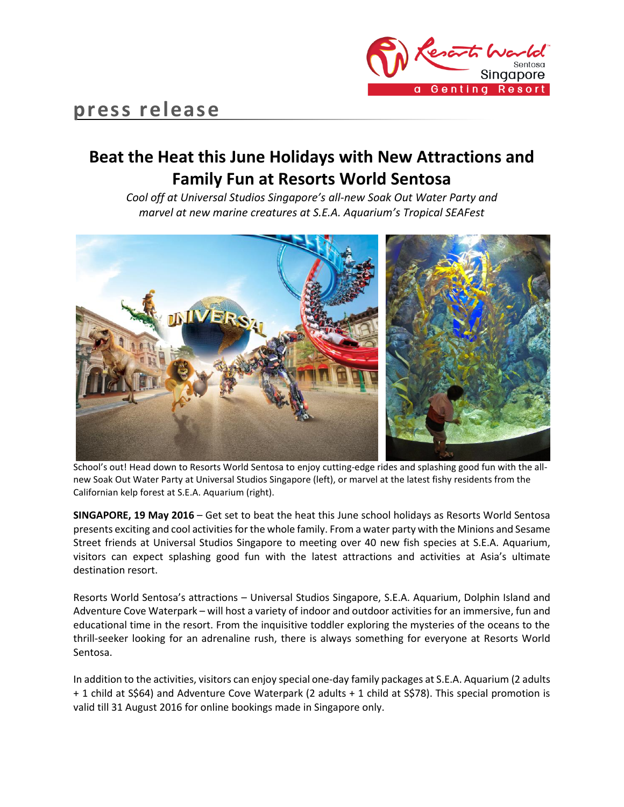

# **Beat the Heat this June Holidays with New Attractions and Family Fun at Resorts World Sentosa**

*Cool off at Universal Studios Singapore's all-new Soak Out Water Party and marvel at new marine creatures at S.E.A. Aquarium's Tropical SEAFest*



School's out! Head down to Resorts World Sentosa to enjoy cutting-edge rides and splashing good fun with the allnew Soak Out Water Party at Universal Studios Singapore (left), or marvel at the latest fishy residents from the Californian kelp forest at S.E.A. Aquarium (right).

**SINGAPORE, 19 May 2016** – Get set to beat the heat this June school holidays as Resorts World Sentosa presents exciting and cool activities for the whole family. From a water party with the Minions and Sesame Street friends at Universal Studios Singapore to meeting over 40 new fish species at S.E.A. Aquarium, visitors can expect splashing good fun with the latest attractions and activities at Asia's ultimate destination resort.

Resorts World Sentosa's attractions – Universal Studios Singapore, S.E.A. Aquarium, Dolphin Island and Adventure Cove Waterpark – will host a variety of indoor and outdoor activities for an immersive, fun and educational time in the resort. From the inquisitive toddler exploring the mysteries of the oceans to the thrill-seeker looking for an adrenaline rush, there is always something for everyone at Resorts World Sentosa.

In addition to the activities, visitors can enjoy special one-day family packages at S.E.A. Aquarium (2 adults + 1 child at S\$64) and Adventure Cove Waterpark (2 adults + 1 child at S\$78). This special promotion is valid till 31 August 2016 for online bookings made in Singapore only.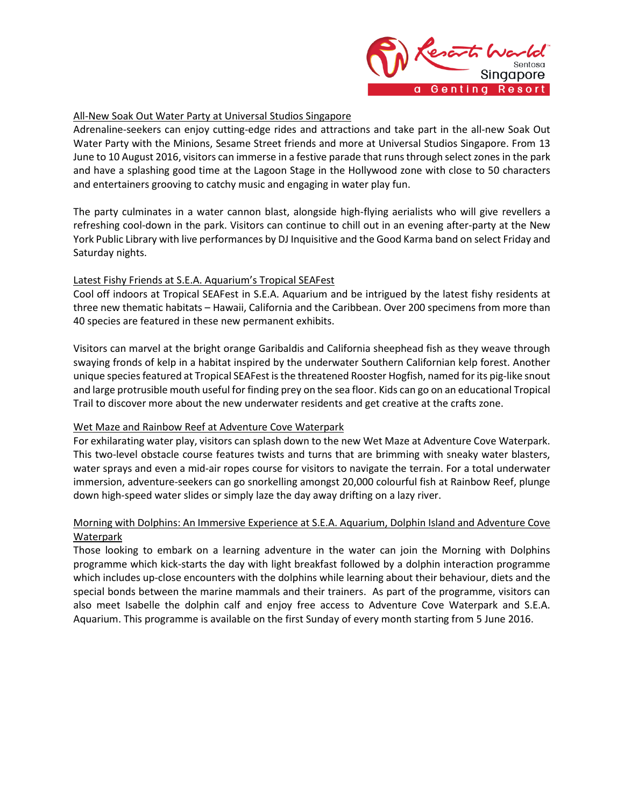

## All-New Soak Out Water Party at Universal Studios Singapore

Adrenaline-seekers can enjoy cutting-edge rides and attractions and take part in the all-new Soak Out Water Party with the Minions, Sesame Street friends and more at Universal Studios Singapore. From 13 June to 10 August 2016, visitors can immerse in a festive parade that runs through select zones in the park and have a splashing good time at the Lagoon Stage in the Hollywood zone with close to 50 characters and entertainers grooving to catchy music and engaging in water play fun.

The party culminates in a water cannon blast, alongside high-flying aerialists who will give revellers a refreshing cool-down in the park. Visitors can continue to chill out in an evening after-party at the New York Public Library with live performances by DJ Inquisitive and the Good Karma band on select Friday and Saturday nights.

## Latest Fishy Friends at S.E.A. Aquarium's Tropical SEAFest

Cool off indoors at Tropical SEAFest in S.E.A. Aquarium and be intrigued by the latest fishy residents at three new thematic habitats – Hawaii, California and the Caribbean. Over 200 specimens from more than 40 species are featured in these new permanent exhibits.

Visitors can marvel at the bright orange Garibaldis and California sheephead fish as they weave through swaying fronds of kelp in a habitat inspired by the underwater Southern Californian kelp forest. Another unique species featured at Tropical SEAFest is the threatened Rooster Hogfish, named for its pig-like snout and large protrusible mouth useful for finding prey on the sea floor. Kids can go on an educational Tropical Trail to discover more about the new underwater residents and get creative at the crafts zone.

### Wet Maze and Rainbow Reef at Adventure Cove Waterpark

For exhilarating water play, visitors can splash down to the new Wet Maze at Adventure Cove Waterpark. This two-level obstacle course features twists and turns that are brimming with sneaky water blasters, water sprays and even a mid-air ropes course for visitors to navigate the terrain. For a total underwater immersion, adventure-seekers can go snorkelling amongst 20,000 colourful fish at Rainbow Reef, plunge down high-speed water slides or simply laze the day away drifting on a lazy river.

# Morning with Dolphins: An Immersive Experience at S.E.A. Aquarium, Dolphin Island and Adventure Cove **Waterpark**

Those looking to embark on a learning adventure in the water can join the Morning with Dolphins programme which kick-starts the day with light breakfast followed by a dolphin interaction programme which includes up-close encounters with the dolphins while learning about their behaviour, diets and the special bonds between the marine mammals and their trainers. As part of the programme, visitors can also meet Isabelle the dolphin calf and enjoy free access to Adventure Cove Waterpark and S.E.A. Aquarium. This programme is available on the first Sunday of every month starting from 5 June 2016.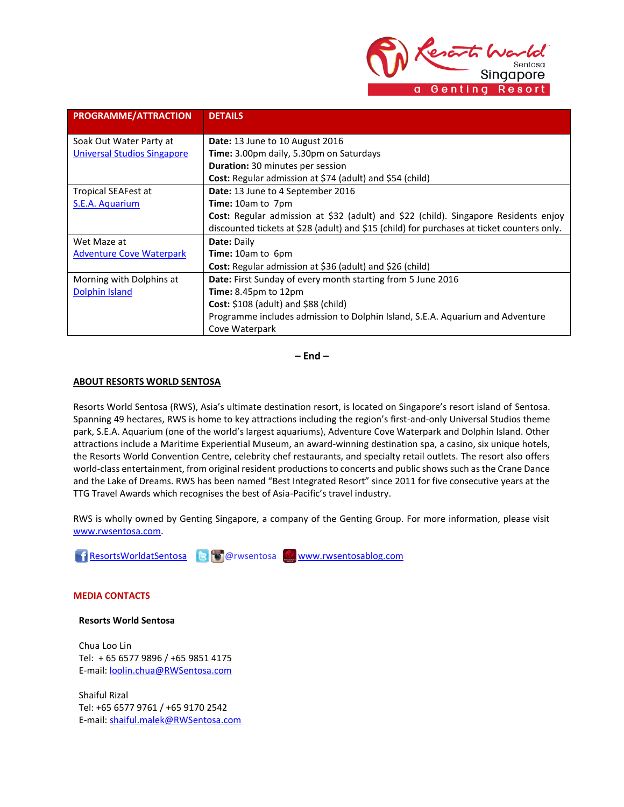Reserts h Singapore a Genting Resort

| PROGRAMME/ATTRACTION               | <b>DETAILS</b>                                                                             |
|------------------------------------|--------------------------------------------------------------------------------------------|
|                                    |                                                                                            |
| Soak Out Water Party at            | Date: 13 June to 10 August 2016                                                            |
| <b>Universal Studios Singapore</b> | Time: 3.00pm daily, 5.30pm on Saturdays                                                    |
|                                    | <b>Duration:</b> 30 minutes per session                                                    |
|                                    | Cost: Regular admission at \$74 (adult) and \$54 (child)                                   |
| Tropical SEAFest at                | Date: 13 June to 4 September 2016                                                          |
| S.E.A. Aquarium                    | <b>Time:</b> 10am to 7pm                                                                   |
|                                    | <b>Cost:</b> Regular admission at \$32 (adult) and \$22 (child). Singapore Residents enjoy |
|                                    | discounted tickets at \$28 (adult) and \$15 (child) for purchases at ticket counters only. |
| Wet Maze at                        | Date: Daily                                                                                |
| <b>Adventure Cove Waterpark</b>    | Time: 10am to 6pm                                                                          |
|                                    | Cost: Regular admission at \$36 (adult) and \$26 (child)                                   |
| Morning with Dolphins at           | Date: First Sunday of every month starting from 5 June 2016                                |
| Dolphin Island                     | <b>Time:</b> 8.45 $pm$ to 12 $pm$                                                          |
|                                    | Cost: \$108 (adult) and \$88 (child)                                                       |
|                                    | Programme includes admission to Dolphin Island, S.E.A. Aquarium and Adventure              |
|                                    | Cove Waterpark                                                                             |

**– End –**

#### **ABOUT RESORTS WORLD SENTOSA**

Resorts World Sentosa (RWS), Asia's ultimate destination resort, is located on Singapore's resort island of Sentosa. Spanning 49 hectares, RWS is home to key attractions including the region's first-and-only Universal Studios theme park, S.E.A. Aquarium (one of the world's largest aquariums), Adventure Cove Waterpark and Dolphin Island. Other attractions include a Maritime Experiential Museum, an award-winning destination spa, a casino, six unique hotels, the Resorts World Convention Centre, celebrity chef restaurants, and specialty retail outlets. The resort also offers world-class entertainment, from original resident productions to concerts and public shows such as the Crane Dance and the Lake of Dreams. RWS has been named "Best Integrated Resort" since 2011 for five consecutive years at the TTG Travel Awards which recognises the best of Asia-Pacific's travel industry.

RWS is wholly owned by Genting Singapore, a company of the Genting Group. For more information, please visit [www.rwsentosa.com.](http://www.rwsentosa.com/)

[ResortsWorldatSentosa](https://www.facebook.com/ResortsWorldatSentosa) & **@** @rwsentosa [www.rwsentosablog.com](http://www.rwsentosablog.com/)

**MEDIA CONTACTS**

**Resorts World Sentosa**

Chua Loo Lin Tel: + 65 6577 9896 / +65 9851 4175 E-mail[: loolin.chua@RWSentosa.com](mailto:loolin.chua@RWSentosa.com)

Shaiful Rizal Tel: +65 6577 9761 / +65 9170 2542 E-mail[: shaiful.malek@RWSentosa.com](mailto:shaiful.malek@RWSentosa.com)